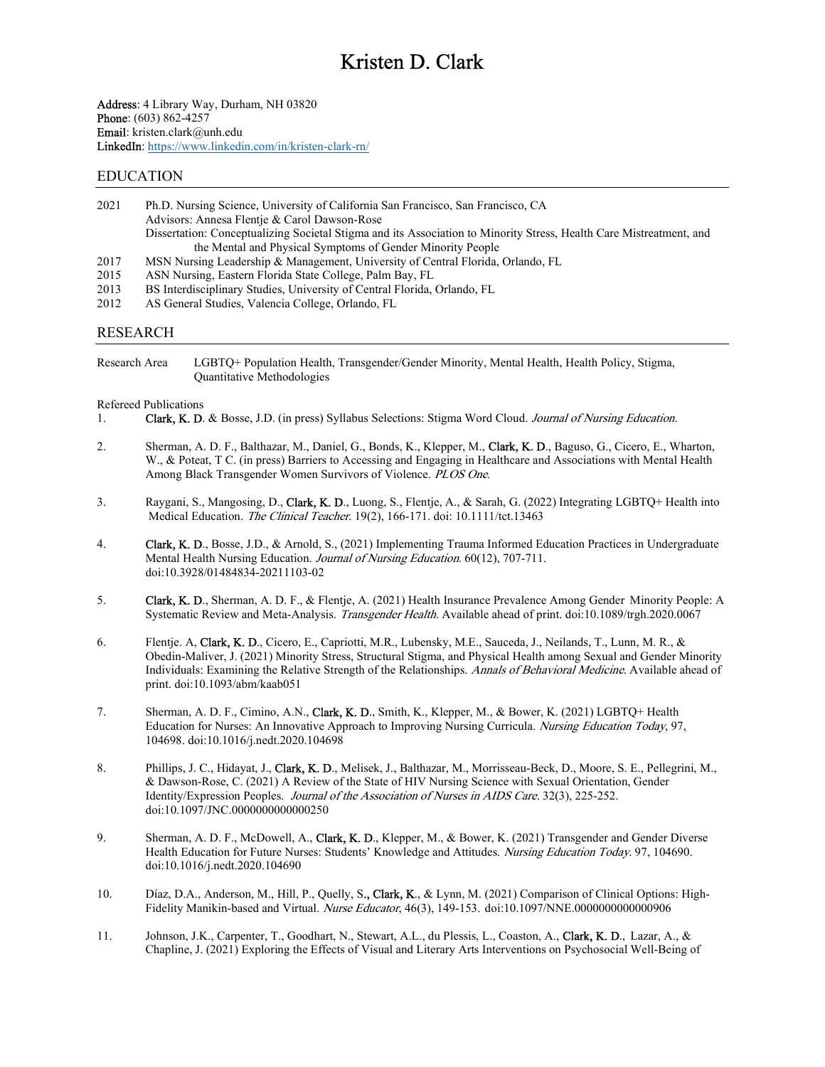Address: 4 Library Way, Durham, NH 03820 Phone: (603) 862-4257 Email: kristen.clark@unh.edu LinkedIn: https://www.linkedin.com/in/kristen-clark-rn/

#### EDUCATION

| 2021 | Ph.D. Nursing Science, University of California San Francisco, San Francisco, CA                                    |
|------|---------------------------------------------------------------------------------------------------------------------|
|      | Advisors: Annesa Flentje & Carol Dawson-Rose                                                                        |
|      | Dissertation: Conceptualizing Societal Stigma and its Association to Minority Stress, Health Care Mistreatment, and |
|      | the Mental and Physical Symptoms of Gender Minority People                                                          |
| 2017 | MSN Nursing Leadership & Management, University of Central Florida, Orlando, FL                                     |
| 2015 | ASN Nursing, Eastern Florida State College, Palm Bay, FL                                                            |
|      |                                                                                                                     |

- 2013 BS Interdisciplinary Studies, University of Central Florida, Orlando, FL
- 2012 AS General Studies, Valencia College, Orlando, FL

#### RESEARCH

Research Area LGBTQ+ Population Health, Transgender/Gender Minority, Mental Health, Health Policy, Stigma, Quantitative Methodologies

#### Refereed Publications

- 1. **Clark, K. D.** & Bosse, J.D. (in press) Syllabus Selections: Stigma Word Cloud. *Journal of Nursing Education*.
- 2. Sherman, A. D. F., Balthazar, M., Daniel, G., Bonds, K., Klepper, M., Clark, K. D., Baguso, G., Cicero, E., Wharton, W., & Poteat, T C. (in press) Barriers to Accessing and Engaging in Healthcare and Associations with Mental Health Among Black Transgender Women Survivors of Violence. PLOS One.
- 3. Raygani, S., Mangosing, D., Clark, K. D., Luong, S., Flentje, A., & Sarah, G. (2022) Integrating LGBTQ+ Health into Medical Education. The Clinical Teacher. 19(2), 166-171. doi: 10.1111/tct.13463
- 4. Clark, K. D., Bosse, J.D., & Arnold, S., (2021) Implementing Trauma Informed Education Practices in Undergraduate Mental Health Nursing Education. *Journal of Nursing Education*. 60(12), 707-711. doi:10.3928/01484834-20211103-02
- 5. Clark, K. D., Sherman, A. D. F., & Flentje, A. (2021) Health Insurance Prevalence Among Gender Minority People: A Systematic Review and Meta-Analysis. Transgender Health. Available ahead of print. doi:10.1089/trgh.2020.0067
- 6. Flentje. A, Clark, K. D., Cicero, E., Capriotti, M.R., Lubensky, M.E., Sauceda, J., Neilands, T., Lunn, M. R., & Obedin-Maliver, J. (2021) Minority Stress, Structural Stigma, and Physical Health among Sexual and Gender Minority Individuals: Examining the Relative Strength of the Relationships. Annals of Behavioral Medicine. Available ahead of print. doi:10.1093/abm/kaab051
- 7. Sherman, A. D. F., Cimino, A.N., Clark, K. D., Smith, K., Klepper, M., & Bower, K. (2021) LGBTQ+ Health Education for Nurses: An Innovative Approach to Improving Nursing Curricula. Nursing Education Today, 97, 104698. doi:10.1016/j.nedt.2020.104698
- 8. Phillips, J. C., Hidayat, J., Clark, K. D., Melisek, J., Balthazar, M., Morrisseau-Beck, D., Moore, S. E., Pellegrini, M., & Dawson-Rose, C. (2021) A Review of the State of HIV Nursing Science with Sexual Orientation, Gender Identity/Expression Peoples. Journal of the Association of Nurses in AIDS Care. 32(3), 225-252. doi:10.1097/JNC.0000000000000250
- 9. Sherman, A. D. F., McDowell, A., Clark, K. D., Klepper, M., & Bower, K. (2021) Transgender and Gender Diverse Health Education for Future Nurses: Students' Knowledge and Attitudes. Nursing Education Today. 97, 104690. doi:10.1016/j.nedt.2020.104690
- 10. Díaz, D.A., Anderson, M., Hill, P., Quelly, S., Clark, K., & Lynn, M. (2021) Comparison of Clinical Options: High-Fidelity Manikin-based and Virtual. Nurse Educator, 46(3), 149-153. doi:10.1097/NNE.0000000000000906
- 11. Johnson, J.K., Carpenter, T., Goodhart, N., Stewart, A.L., du Plessis, L., Coaston, A., Clark, K. D., Lazar, A., & Chapline, J. (2021) Exploring the Effects of Visual and Literary Arts Interventions on Psychosocial Well-Being of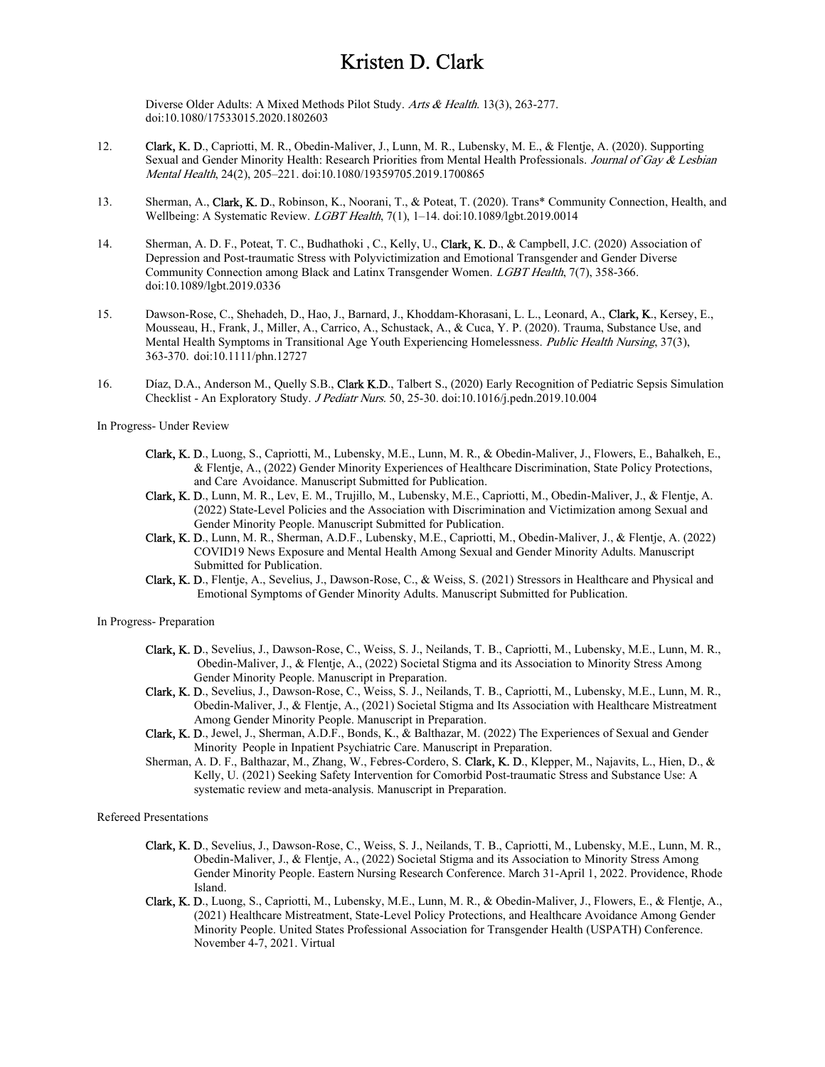Diverse Older Adults: A Mixed Methods Pilot Study. Arts & Health. 13(3), 263-277. doi:10.1080/17533015.2020.1802603

- 12. Clark, K. D., Capriotti, M. R., Obedin-Maliver, J., Lunn, M. R., Lubensky, M. E., & Flentje, A. (2020). Supporting Sexual and Gender Minority Health: Research Priorities from Mental Health Professionals. Journal of Gay & Lesbian Mental Health, 24(2), 205–221. doi:10.1080/19359705.2019.1700865
- 13. Sherman, A., Clark, K. D., Robinson, K., Noorani, T., & Poteat, T. (2020). Trans\* Community Connection, Health, and Wellbeing: A Systematic Review. LGBT Health, 7(1), 1-14. doi:10.1089/lgbt.2019.0014
- 14. Sherman, A. D. F., Poteat, T. C., Budhathoki, C., Kelly, U., Clark, K. D., & Campbell, J.C. (2020) Association of Depression and Post-traumatic Stress with Polyvictimization and Emotional Transgender and Gender Diverse Community Connection among Black and Latinx Transgender Women. LGBT Health, 7(7), 358-366. doi:10.1089/lgbt.2019.0336
- 15. Dawson-Rose, C., Shehadeh, D., Hao, J., Barnard, J., Khoddam-Khorasani, L. L., Leonard, A., Clark, K., Kersey, E., Mousseau, H., Frank, J., Miller, A., Carrico, A., Schustack, A., & Cuca, Y. P. (2020). Trauma, Substance Use, and Mental Health Symptoms in Transitional Age Youth Experiencing Homelessness. Public Health Nursing, 37(3), 363-370. doi:10.1111/phn.12727
- 16. Díaz, D.A., Anderson M., Quelly S.B., Clark K.D., Talbert S., (2020) Early Recognition of Pediatric Sepsis Simulation Checklist - An Exploratory Study. J Pediatr Nurs. 50, 25-30. doi:10.1016/j.pedn.2019.10.004

In Progress- Under Review

- Clark, K. D., Luong, S., Capriotti, M., Lubensky, M.E., Lunn, M. R., & Obedin-Maliver, J., Flowers, E., Bahalkeh, E., & Flentje, A., (2022) Gender Minority Experiences of Healthcare Discrimination, State Policy Protections, and Care Avoidance. Manuscript Submitted for Publication.
- Clark, K. D., Lunn, M. R., Lev, E. M., Trujillo, M., Lubensky, M.E., Capriotti, M., Obedin-Maliver, J., & Flentje, A. (2022) State-Level Policies and the Association with Discrimination and Victimization among Sexual and Gender Minority People. Manuscript Submitted for Publication.
- Clark, K. D., Lunn, M. R., Sherman, A.D.F., Lubensky, M.E., Capriotti, M., Obedin-Maliver, J., & Flentje, A. (2022) COVID19 News Exposure and Mental Health Among Sexual and Gender Minority Adults. Manuscript Submitted for Publication.
- Clark, K. D., Flentje, A., Sevelius, J., Dawson-Rose, C., & Weiss, S. (2021) Stressors in Healthcare and Physical and Emotional Symptoms of Gender Minority Adults. Manuscript Submitted for Publication.

In Progress- Preparation

- Clark, K. D., Sevelius, J., Dawson-Rose, C., Weiss, S. J., Neilands, T. B., Capriotti, M., Lubensky, M.E., Lunn, M. R., Obedin-Maliver, J., & Flentje, A., (2022) Societal Stigma and its Association to Minority Stress Among Gender Minority People. Manuscript in Preparation.
- Clark, K. D., Sevelius, J., Dawson-Rose, C., Weiss, S. J., Neilands, T. B., Capriotti, M., Lubensky, M.E., Lunn, M. R., Obedin-Maliver, J., & Flentje, A., (2021) Societal Stigma and Its Association with Healthcare Mistreatment Among Gender Minority People. Manuscript in Preparation.
- Clark, K. D., Jewel, J., Sherman, A.D.F., Bonds, K., & Balthazar, M. (2022) The Experiences of Sexual and Gender Minority People in Inpatient Psychiatric Care. Manuscript in Preparation.
- Sherman, A. D. F., Balthazar, M., Zhang, W., Febres-Cordero, S. Clark, K. D., Klepper, M., Najavits, L., Hien, D., & Kelly, U. (2021) Seeking Safety Intervention for Comorbid Post-traumatic Stress and Substance Use: A systematic review and meta-analysis. Manuscript in Preparation.

Refereed Presentations

- Clark, K. D., Sevelius, J., Dawson-Rose, C., Weiss, S. J., Neilands, T. B., Capriotti, M., Lubensky, M.E., Lunn, M. R., Obedin-Maliver, J., & Flentje, A., (2022) Societal Stigma and its Association to Minority Stress Among Gender Minority People. Eastern Nursing Research Conference. March 31-April 1, 2022. Providence, Rhode Island.
- Clark, K. D., Luong, S., Capriotti, M., Lubensky, M.E., Lunn, M. R., & Obedin-Maliver, J., Flowers, E., & Flentje, A., (2021) Healthcare Mistreatment, State-Level Policy Protections, and Healthcare Avoidance Among Gender Minority People. United States Professional Association for Transgender Health (USPATH) Conference. November 4-7, 2021. Virtual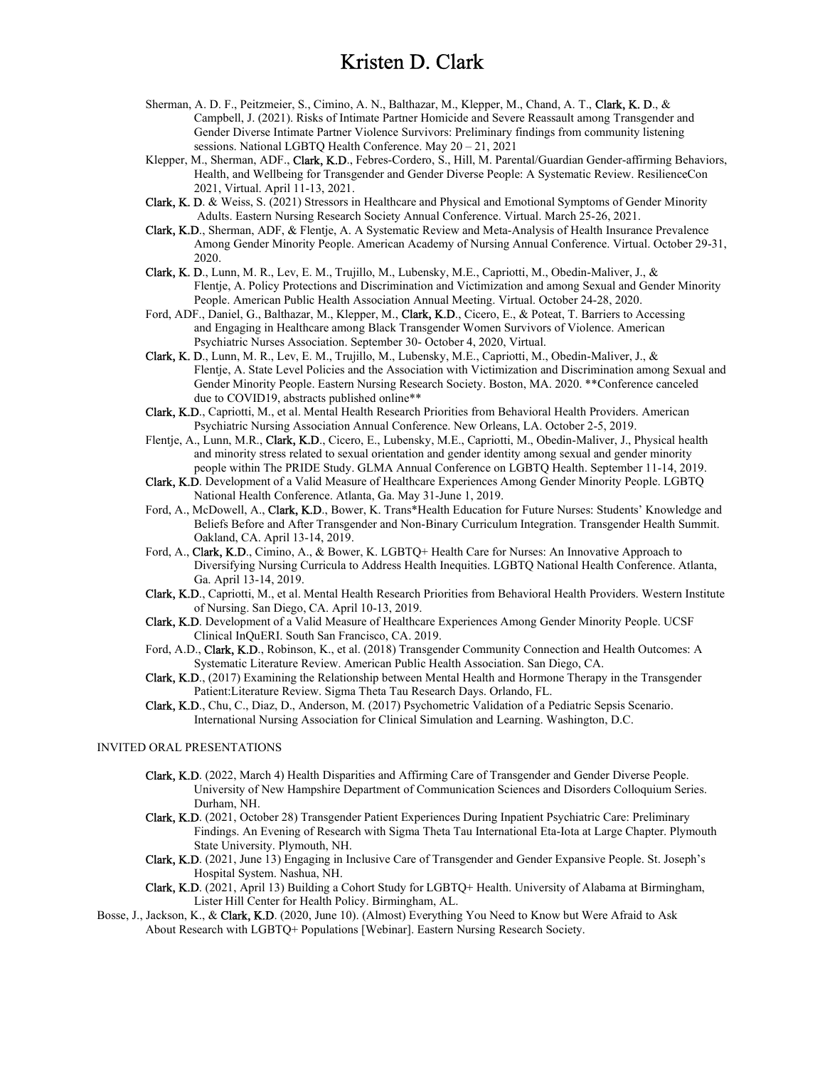- Sherman, A. D. F., Peitzmeier, S., Cimino, A. N., Balthazar, M., Klepper, M., Chand, A. T., Clark, K. D., & Campbell, J. (2021). Risks of Intimate Partner Homicide and Severe Reassault among Transgender and Gender Diverse Intimate Partner Violence Survivors: Preliminary findings from community listening sessions. National LGBTQ Health Conference. May 20 – 21, 2021
- Klepper, M., Sherman, ADF., Clark, K.D., Febres-Cordero, S., Hill, M. Parental/Guardian Gender-affirming Behaviors, Health, and Wellbeing for Transgender and Gender Diverse People: A Systematic Review. ResilienceCon 2021, Virtual. April 11-13, 2021.
- Clark, K. D. & Weiss, S. (2021) Stressors in Healthcare and Physical and Emotional Symptoms of Gender Minority Adults. Eastern Nursing Research Society Annual Conference. Virtual. March 25-26, 2021.
- Clark, K.D., Sherman, ADF, & Flentje, A. A Systematic Review and Meta-Analysis of Health Insurance Prevalence Among Gender Minority People. American Academy of Nursing Annual Conference. Virtual. October 29-31, 2020.
- Clark, K. D., Lunn, M. R., Lev, E. M., Trujillo, M., Lubensky, M.E., Capriotti, M., Obedin-Maliver, J., & Flentje, A. Policy Protections and Discrimination and Victimization and among Sexual and Gender Minority People. American Public Health Association Annual Meeting. Virtual. October 24-28, 2020.
- Ford, ADF., Daniel, G., Balthazar, M., Klepper, M., Clark, K.D., Cicero, E., & Poteat, T. Barriers to Accessing and Engaging in Healthcare among Black Transgender Women Survivors of Violence. American Psychiatric Nurses Association. September 30- October 4, 2020, Virtual.
- Clark, K. D., Lunn, M. R., Lev, E. M., Trujillo, M., Lubensky, M.E., Capriotti, M., Obedin-Maliver, J., & Flentje, A. State Level Policies and the Association with Victimization and Discrimination among Sexual and Gender Minority People. Eastern Nursing Research Society. Boston, MA. 2020. \*\*Conference canceled due to COVID19, abstracts published online\*\*
- Clark, K.D., Capriotti, M., et al. Mental Health Research Priorities from Behavioral Health Providers. American Psychiatric Nursing Association Annual Conference. New Orleans, LA. October 2-5, 2019.
- Flentje, A., Lunn, M.R., Clark, K.D., Cicero, E., Lubensky, M.E., Capriotti, M., Obedin-Maliver, J., Physical health and minority stress related to sexual orientation and gender identity among sexual and gender minority people within The PRIDE Study. GLMA Annual Conference on LGBTQ Health. September 11-14, 2019.
- Clark, K.D. Development of a Valid Measure of Healthcare Experiences Among Gender Minority People. LGBTQ National Health Conference. Atlanta, Ga. May 31-June 1, 2019.
- Ford, A., McDowell, A., Clark, K.D., Bower, K. Trans\*Health Education for Future Nurses: Students' Knowledge and Beliefs Before and After Transgender and Non-Binary Curriculum Integration. Transgender Health Summit. Oakland, CA. April 13-14, 2019.
- Ford, A., Clark, K.D., Cimino, A., & Bower, K. LGBTQ+ Health Care for Nurses: An Innovative Approach to Diversifying Nursing Curricula to Address Health Inequities. LGBTQ National Health Conference. Atlanta, Ga. April 13-14, 2019.
- Clark, K.D., Capriotti, M., et al. Mental Health Research Priorities from Behavioral Health Providers. Western Institute of Nursing. San Diego, CA. April 10-13, 2019.
- Clark, K.D. Development of a Valid Measure of Healthcare Experiences Among Gender Minority People. UCSF Clinical InQuERI. South San Francisco, CA. 2019.
- Ford, A.D., Clark, K.D., Robinson, K., et al. (2018) Transgender Community Connection and Health Outcomes: A Systematic Literature Review. American Public Health Association. San Diego, CA.
- Clark, K.D., (2017) Examining the Relationship between Mental Health and Hormone Therapy in the Transgender Patient:Literature Review. Sigma Theta Tau Research Days. Orlando, FL.
- Clark, K.D., Chu, C., Diaz, D., Anderson, M. (2017) Psychometric Validation of a Pediatric Sepsis Scenario. International Nursing Association for Clinical Simulation and Learning. Washington, D.C.

#### INVITED ORAL PRESENTATIONS

- Clark, K.D. (2022, March 4) Health Disparities and Affirming Care of Transgender and Gender Diverse People. University of New Hampshire Department of Communication Sciences and Disorders Colloquium Series. Durham, NH.
- Clark, K.D. (2021, October 28) Transgender Patient Experiences During Inpatient Psychiatric Care: Preliminary Findings. An Evening of Research with Sigma Theta Tau International Eta-Iota at Large Chapter. Plymouth State University. Plymouth, NH.
- Clark, K.D. (2021, June 13) Engaging in Inclusive Care of Transgender and Gender Expansive People. St. Joseph's Hospital System. Nashua, NH.
- Clark, K.D. (2021, April 13) Building a Cohort Study for LGBTQ+ Health. University of Alabama at Birmingham, Lister Hill Center for Health Policy. Birmingham, AL.
- Bosse, J., Jackson, K., & Clark, K.D. (2020, June 10). (Almost) Everything You Need to Know but Were Afraid to Ask About Research with LGBTQ+ Populations [Webinar]. Eastern Nursing Research Society.